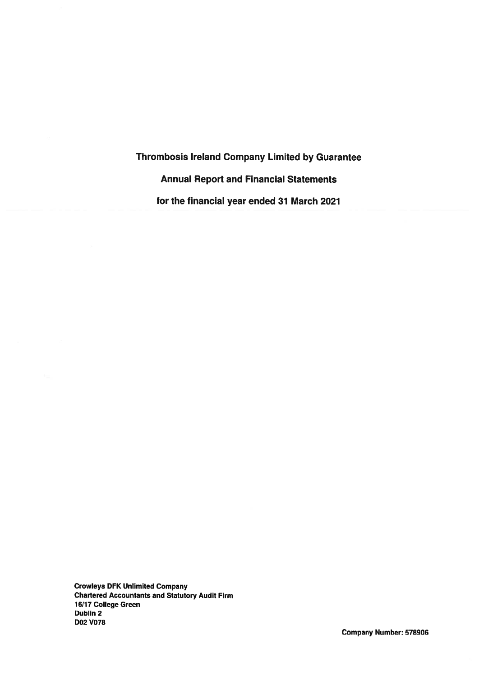**Thrombosis Ireland Company Limited by Guarantee Annual Report and Financial Statements** for the financial year ended 31 March 2021

**Crowleys DFK Unlimited Company Chartered Accountants and Statutory Audit Firm** 16/17 College Green Dublin 2 **D02 V078**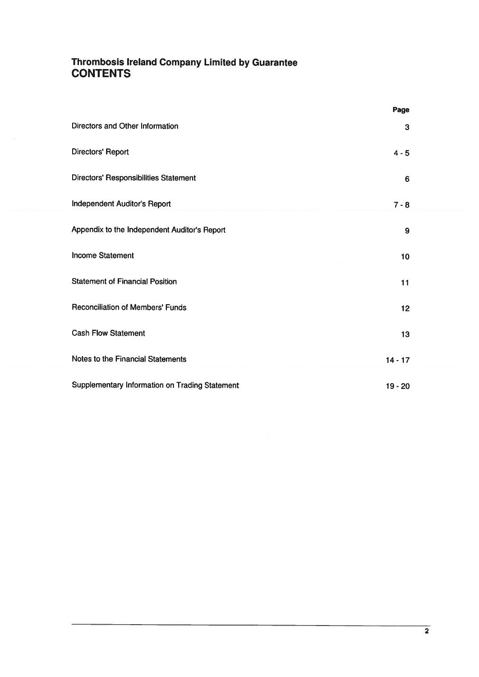# **Thrombosis Ireland Company Limited by Guarantee<br>CONTENTS**

|                                                | Page            |  |
|------------------------------------------------|-----------------|--|
| Directors and Other Information                | 3               |  |
| Directors' Report                              | $4 - 5$         |  |
| Directors' Responsibilities Statement          | $6\phantom{1}6$ |  |
| <b>Independent Auditor's Report</b>            | $7 - 8$         |  |
| Appendix to the Independent Auditor's Report   | 9               |  |
| <b>Income Statement</b>                        | 10              |  |
| <b>Statement of Financial Position</b>         | 11              |  |
| <b>Reconciliation of Members' Funds</b>        | 12              |  |
| <b>Cash Flow Statement</b>                     | 13              |  |
| Notes to the Financial Statements              | $14 - 17$       |  |
| Supplementary Information on Trading Statement | $19 - 20$       |  |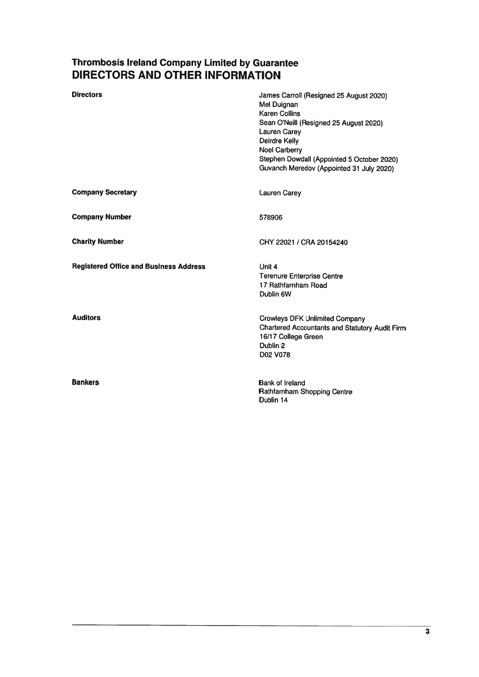# Thrombosis Ireland Company Limited by Guarantee<br>DIRECTORS AND OTHER INFORMATION

| <b>Directors</b>                              | James Carroll (Resigned 25 August 2020)<br>Mel Duignan<br><b>Karen Collins</b><br>Sean O'Neill (Resigned 25 August 2020)<br><b>Lauren Carey</b><br><b>Deirdre Kelly</b><br><b>Noel Carberry</b><br>Stephen Dowdall (Appointed 5 October 2020)<br>Guvanch Meredov (Appointed 31 July 2020) |
|-----------------------------------------------|-------------------------------------------------------------------------------------------------------------------------------------------------------------------------------------------------------------------------------------------------------------------------------------------|
| <b>Company Secretary</b>                      | <b>Lauren Carey</b>                                                                                                                                                                                                                                                                       |
| <b>Company Number</b>                         | 578906                                                                                                                                                                                                                                                                                    |
| <b>Charity Number</b>                         | CHY 22021 / CRA 20154240                                                                                                                                                                                                                                                                  |
| <b>Registered Office and Business Address</b> | Unit 4<br><b>Terenure Enterprise Centre</b><br>17 Rathfarnham Road<br>Dublin 6W                                                                                                                                                                                                           |
| <b>Auditors</b>                               | <b>Crowleys DFK Unlimited Company</b><br><b>Chartered Accountants and Statutory Audit Firm</b><br>16/17 College Green<br>Dublin <sub>2</sub><br>D02 V078                                                                                                                                  |
| <b>Bankers</b>                                | <b>Bank of Ireland</b><br>Rathfarnham Shopping Centre<br>Dublin 14                                                                                                                                                                                                                        |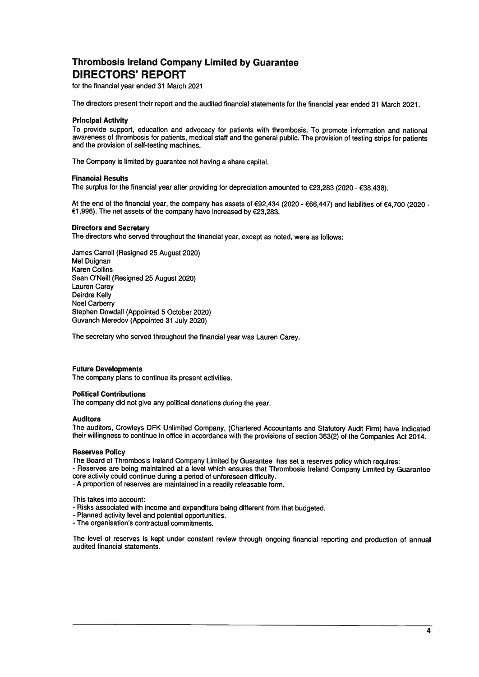# **Thrombosis Ireland Company Limited by Guarantee DIRECTORS' REPORT**

for the financial year ended 31 March 2021

The directors present their report and the audited financial statements for the financial year ended 31 March 2021.

### **Principal Activity**

To provide support, education and advocacy for patients with thrombosis. To promote information and national awareness of thrombosis for patients, medical staff and the general public. The provision of testing strips for patients and the provision of self-testing machines.

The Company is limited by guarantee not having a share capital.

### **Financial Results**

The surplus for the financial year after providing for depreciation amounted to  $\epsilon$ 23.283 (2020 -  $\epsilon$ 38.438).

At the end of the financial year, the company has assets of €92,434 (2020 - €66,447) and liabilities of €4,700 (2020 -€1,996). The net assets of the company have increased by €23,283.

## **Directors and Secretary**

The directors who served throughout the financial year, except as noted, were as follows:

James Carroll (Resigned 25 August 2020) Mel Duignan **Karen Collins** Sean O'Neill (Resigned 25 August 2020) **Lauren Carey** Deirdre Kelly **Noel Carberry** Stephen Dowdall (Appointed 5 October 2020) Guvanch Meredov (Appointed 31 July 2020)

The secretary who served throughout the financial year was Lauren Carey.

### **Future Developments**

The company plans to continue its present activities.

### **Political Contributions**

The company did not give any political donations during the year.

### **Auditors**

The auditors, Crowleys DFK Unlimited Company, (Chartered Accountants and Statutory Audit Firm) have indicated their willingness to continue in office in accordance with the provisions of section 383(2) of the Companies Act 2014.

# **Reserves Policy**

The Board of Thrombosis Ireland Company Limited by Guarantee has set a reserves policy which requires:

- Reserves are being maintained at a level which ensures that Thrombosis Ireland Company Limited by Guarantee core activity could continue during a period of unforeseen difficulty.

- A proportion of reserves are maintained in a readily releasable form.

This takes into account:

- Risks associated with income and expenditure being different from that budgeted.
- Planned activity level and potential opportunities.
- The organisation's contractual commitments.

The level of reserves is kept under constant review through ongoing financial reporting and production of annual audited financial statements.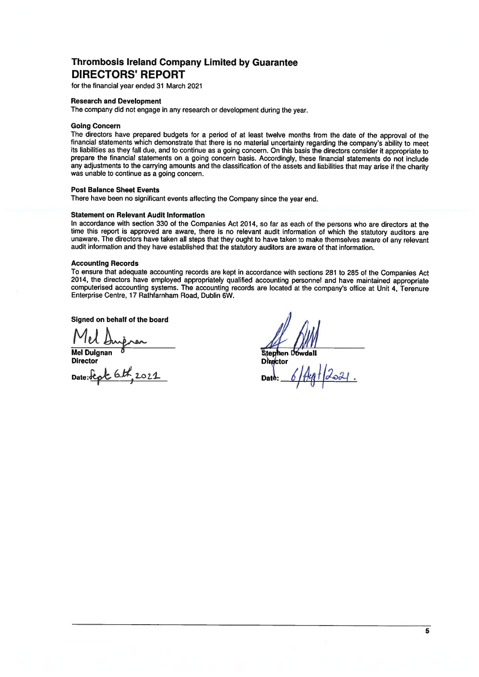# **Thrombosis Ireland Company Limited by Guarantee DIRECTORS' REPORT**

for the financial year ended 31 March 2021

## **Research and Development**

The company did not engage in any research or development during the year.

### **Going Concern**

The directors have prepared budgets for a period of at least twelve months from the date of the approval of the financial statements which demonstrate that there is no material uncertainty regarding the company's ability to meet its liabilities as they fall due, and to continue as a going concern. On this basis the directors consider it appropriate to prepare the financial statements on a going concern basis. Accordingly, these financial statements do not include<br>any adjustments to the carrying amounts and the classification of the assets and liabilities that may arise was unable to continue as a going concern.

# **Post Balance Sheet Events**

There have been no significant events affecting the Company since the year end.

## **Statement on Relevant Audit Information**

In accordance with section 330 of the Companies Act 2014, so far as each of the persons who are directors at the time this report is approved are aware, there is no relevant audit information of which the statutory auditors are unaware. The directors have taken all steps that they ought to have taken to make themselves aware of any relevant audit information and they have established that the statutory auditors are aware of that information.

### **Accounting Records**

To ensure that adequate accounting records are kept in accordance with sections 281 to 285 of the Companies Act 2014, the directors have employed appropriately qualified accounting personnel and have maintained appropriate computerised accounting systems. The accounting records are located at the company's office at Unit 4, Terenure Enterprise Centre, 17 Rathfarnham Road, Dublin 6W.

Signed on behalf of the board

Nel Duignan<br>Mel Duignan<br>Director<br>Date: <u>Stept</u> 6th 2021

**Stephen Dowdall Di**rector Dat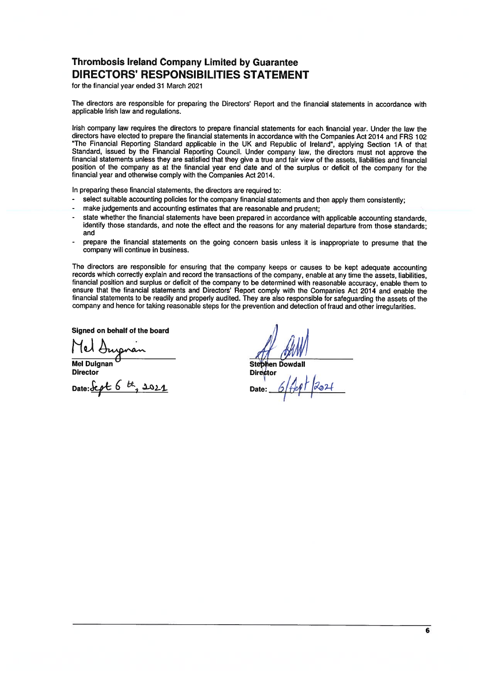# **Thrombosis Ireland Company Limited by Guarantee DIRECTORS' RESPONSIBILITIES STATEMENT**

for the financial year ended 31 March 2021

The directors are responsible for preparing the Directors' Report and the financial statements in accordance with applicable Irish law and regulations.

Irish company law requires the directors to prepare financial statements for each financial year. Under the law the directors have elected to prepare the financial statements in accordance with the Companies Act 2014 and FRS 102 "The Financial Reporting Standard applicable in the UK and Republic of Ireland", applying Section 1A of that Standard, issued by the Financial Reporting Council. Under company law, the directors must not approve the financial statements unless they are satisfied that they give a true and fair view of the assets, liabilities and financial position of the company as at the financial year end date and of the surplus or deficit of the company for the financial year and otherwise comply with the Companies Act 2014.

In preparing these financial statements, the directors are required to:

- select suitable accounting policies for the company financial statements and then apply them consistently;  $\ddot{\phantom{a}}$
- make judgements and accounting estimates that are reasonable and prudent:
- state whether the financial statements have been prepared in accordance with applicable accounting standards. identify those standards, and note the effect and the reasons for any material departure from those standards: and
- prepare the financial statements on the going concern basis unless it is inappropriate to presume that the company will continue in business.

The directors are responsible for ensuring that the company keeps or causes to be kept adequate accounting records which correctly explain and record the transactions of the company, enable at any time the assets, liabilities, financial position and surplus or deficit of the company to be determined with reasonable accuracy, enable them to ensure that the financial statements and Directors' Report comply with the Companies Act 2014 and enable the financial statements to be readily and properly audited. They are also responsible for safeguarding the assets of the company and hence for taking reasonable steps for the prevention and detection of fraud and other irregularities.

Signed on behalf of the board

**Mel Duignan** 

**Director** 

Date: Scot 6 th, 2021

**Stephen Dowdall Director** Date: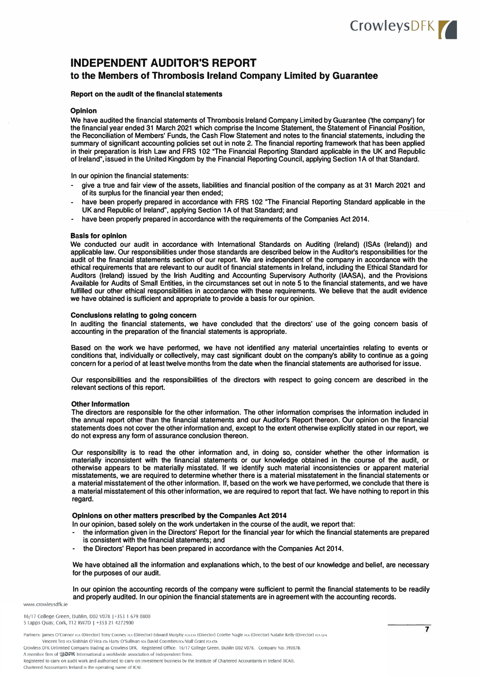# CrowleysDFK

# **INDEPENDENT AUDITOR'S REPORT**

# **to the Members of Thrombosis Ireland Company Limited by Guarantee**

### **Report on the audit of the financial statements**

### **Opinion**

**We have audited the financial statements of Thrombosis Ireland Company Limited by Guarantee ('the company') for the financial year ended 31 March 2021 which comprise the Income Statement, the Statement of Financial Position, the Reconciliation of Members' Funds, the Cash Flow Statement and notes to the financial statements, including the summary of significant accounting policies set out in note 2. The financial reporting framework that has been applied in their preparation is Irish Law and FRS 102 "The Financial Reporting Standard applicable in the UK and Republic of Ireland", issued in the United Kingdom by the Financial Reporting Council, applying Section 1A of that Standard.** 

**In our opinion the financial statements:** 

- **- give a true and fair view of the assets, liabilities and financial position of the company as at 31 March 2021 and of its surplus for the financial year then ended;**
- **- have been properly prepared in accordance with FRS 102 "The Financial Reporting Standard applicable in the UK and Republic of Ireland", applying Section 1A of that Standard; and**
- **- have been properly prepared in accordance with the requirements of the Companies Act 2014.**

### **Basis for opinion**

**We conducted our audit in accordance with International Standards on Auditing (Ireland) (ISAs (Ireland)) and applicable law. Our responsibilities under those standards are described below in the Auditor's responsibilities for the audit of the financial statements section of our report. We are independent of the company in accordance with the ethical requirements that are relevant to our audit of financial statements in Ireland, including the Ethical Standard for Auditors (Ireland) issued by the Irish Auditing and Accounting Supervisory Authority (IAASA), and the Provisions Available for Audits of Small Entities, in the circumstances set out in note 5 to the financial statements, and we have fulfilled our other ethical responsibilities in accordance with these requirements. We believe that the audit evidence we have obtained is sufficient and appropriate to provide a basis for our opinion.** 

### **Conclusions relating to going concern**

**In auditing the financial statements, we have concluded that the directors' use of the going concern basis of accounting in the preparation of the financial statements is appropriate.** 

**Based on the work we have performed, we have not identified any material uncertainties relating to events or conditions that, individually or collectively, may cast significant doubt on the company's ability to continue as a going concern for a period of at least twelve months from the date when the financial statements are authorised for issue.** 

**Our responsibilities and the responsibilities of the directors with respect to going concern are described in the relevant sections of this report.** 

### **Other Information**

**The directors are responsible for the other information. The other information comprises the information included in the annual report other than the financial statements and our Auditor's Report thereon. Our opinion on the financial statements does not cover the other information and, except to the extent otherwise explicitly stated in our report, we do not express any form of assurance conclusion thereon.** 

**Our responsibility is to read the other information and, in doing so, consider whether the other information is materially inconsistent with the financial statements or our knowledge obtained in the course of the audit, or otherwise appears to be materially misstated. If we identify such material inconsistencies or apparent material misstatements, we are required to determine whether there is a material misstatement in the financial statements or a material misstatement of the other information. If, based on the work we have performed, we conclude that there is a material misstatement of this other information, we are required to report that fact. We have nothing to report in this regard.** 

### **Opinions on other matters prescribed by the Companies Act 2014**

**In our opinion, based solely on the work undertaken in the course of the audit, we report that:** 

- **- the information given in the Directors' Report for the financial year for which the financial statements are prepared is consistent with the financial statements; and**
- **- the Directors' Report has been prepared in accordance with the Companies Act 2014.**

**We have obtained all the information and explanations which, to the best of our knowledge and belief, are necessary for the purposes of our audit.** 

**In our opinion the accounting records of the company were sufficient to permit the financial statements to be readily and properly audited. In our opinion the financial statements are in agreement with the accounting records.** 

www.crowlevsdfk.ie

16/17 College Green, Dublin, D02 V078 | +353 1 679 0800 5 Lapps Quay, Cork, T12 RW7D | +353 21 4272900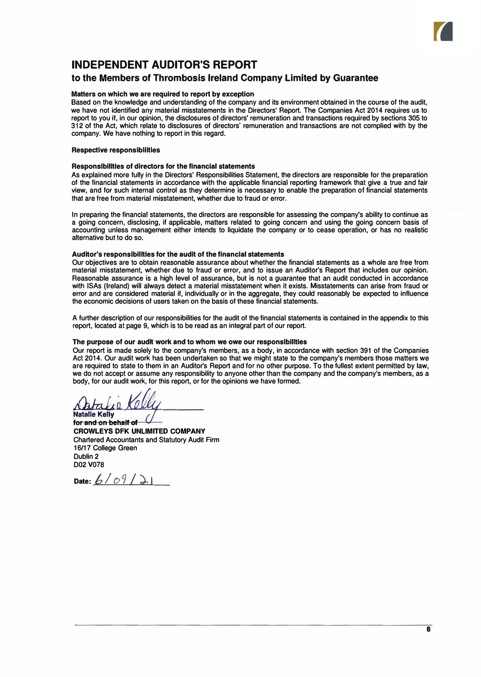

# **INDEPENDENT AUDITOR'S REPORT**

# **to the Members of Thrombosis Ireland Company Limited by Guarantee**

# **Matters on which we are required to report by exception**

Based on the knowledge and understanding of the company and its environment obtained in the course of the audit, we have not identified any material misstatements in the Directors' Report. The Companies Act 2014 requires us to report to you if, in our opinion, the disclosures of directors' remuneration and transactions required by sections 305 to 312 of the Act, which relate to disclosures of directors' remuneration and transactions are not complied with by the company. We have nothing to report in this regard.

### **Respective responsibilities**

### **Responslbllltles of directors for the financial statements**

As explained more fully in the Directors' Responsibilities Statement, the directors are responsible for the preparation of the financial statements in accordance with the applicable financial reporting framework that give a true and fair view, and for such internal control as they determine is necessary to enable the preparation of financial statements that are free from material misstatement, whether due to fraud or error.

In preparing the financial statements, the directors are responsible for assessing the company's ability to continue as a going concern, disclosing, if applicable, matters related to going concern and using the going concern basis of accounting unless management either intends to liquidate the company or to cease operation, or has no realistic alternative but to do so.

# **Auditor's responslbilltles for the audit of the financial statements**

Our objectives are to obtain reasonable assurance about whether the financial statements as a whole are free from material misstatement, whether due to fraud or error, and to issue an Auditor's Report that includes our opinion. Reasonable assurance is a high level of assurance, but is not a guarantee that an audit conducted in accordance with ISAs (Ireland) will always detect a material misstatement when it exists. Misstatements can arise from fraud or error and are considered material if, individually or in the aggregate, they could reasonably be expected to influence the economic decisions of users taken on the basis of these financial statements.

A further description of our responsibilities for the audit of the financial statements is contained in the appendix to this report, located at page 9, which is to be read as an integral part of our report.

# **The purpose of our audit work and to whom we owe our responslbllltles**

Our report is made solely to the company's members, as a body, in accordance with section 391 of the Companies Act 2014. Our audit work has been undertaken so that we might state to the company's members those matters we are required to state to them in an Auditor's Report and for no other purpose. To the fullest extent permitted by law, we do not accept or assume any responsibility to anyone other than the company and the company's members, as a body, for our audit work, for this report, or for the opinions we have formed.

m

Natalie Kelly<br>for and on behalf of **CROWLEYS DFK UNLIMITED COMPANY**  Chartered Accountants and Statutory Audit Firm 16/17 College Green Dublin 2 D02 V078

**Date:**  $6/09/1$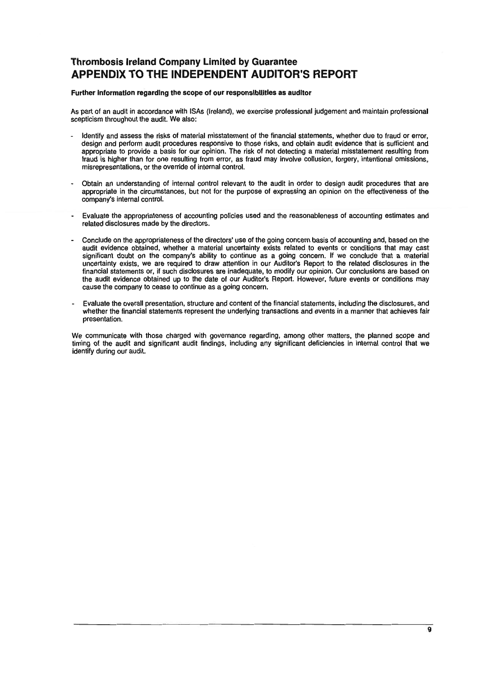# **Thrombosis Ireland Company Limited by Guarantee APPENDIX TO THE INDEPENDENT AUDITOR'S REPORT**

# Further information regarding the scope of our responsibilities as auditor

As part of an audit in accordance with ISAs (Ireland), we exercise professional judgement and maintain professional scepticism throughout the audit. We also:

- Identify and assess the risks of material misstatement of the financial statements, whether due to fraud or error, design and perform audit procedures responsive to those risks, and obtain audit evidence that is sufficient and appropriate to provide a basis for our opinion. The risk of not detecting a material misstatement resulting from fraud is higher than for one resulting from error, as fraud may involve collusion, forgery, intentional omissions, misrepresentations, or the override of internal control.
- Obtain an understanding of internal control relevant to the audit in order to design audit procedures that are appropriate in the circumstances, but not for the purpose of expressing an opinion on the effectiveness of the company's internal control.
- Evaluate the appropriateness of accounting policies used and the reasonableness of accounting estimates and related disclosures made by the directors.
- Conclude on the appropriateness of the directors' use of the going concern basis of accounting and, based on the audit evidence obtained, whether a material uncertainty exists related to events or conditions that may cast significant doubt on the company's ability to continue as a going concern. If we conclude that a material uncertainty exists, we are required to draw attention in our Auditor's Report to the related disclosures in the financial statements or, if such disclosures are inadequate, to modify our opinion. Our conclusions are based on the audit evidence obtained up to the date of our Auditor's Report. However, future events or conditions may cause the company to cease to continue as a going concern.
- Evaluate the overall presentation, structure and content of the financial statements, including the disclosures, and whether the financial statements represent the underlying transactions and events in a manner that achieves fair presentation.

We communicate with those charged with governance regarding, among other matters, the planned scope and timing of the audit and significant audit findings, including any significant deficiencies in internal control that we identify during our audit.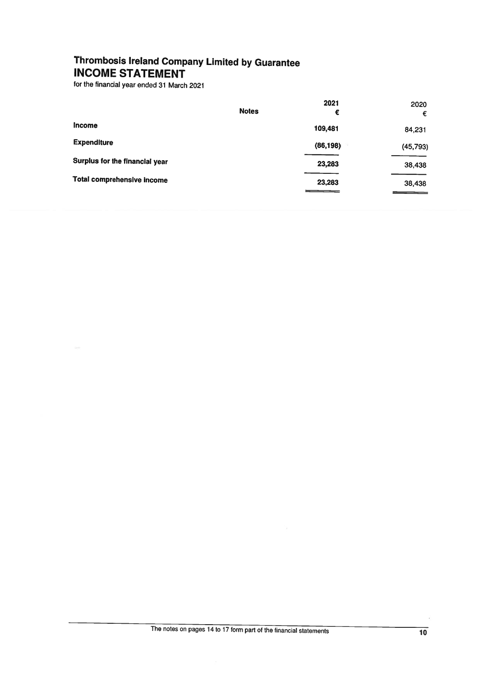# Thrombosis Ireland Company Limited by Guarantee **INCOME STATEMENT**

for the financial year ended 31 March 2021

|                                   | <b>Notes</b> | 2021<br>€ | 2020<br>€ |
|-----------------------------------|--------------|-----------|-----------|
| <b>Income</b>                     |              | 109,481   | 84,231    |
| <b>Expenditure</b>                |              | (86, 198) | (45, 793) |
| Surplus for the financial year    |              | 23,283    | 38,438    |
| <b>Total comprehensive income</b> |              | 23,283    | 38,438    |

 $\ddot{\phantom{0}}$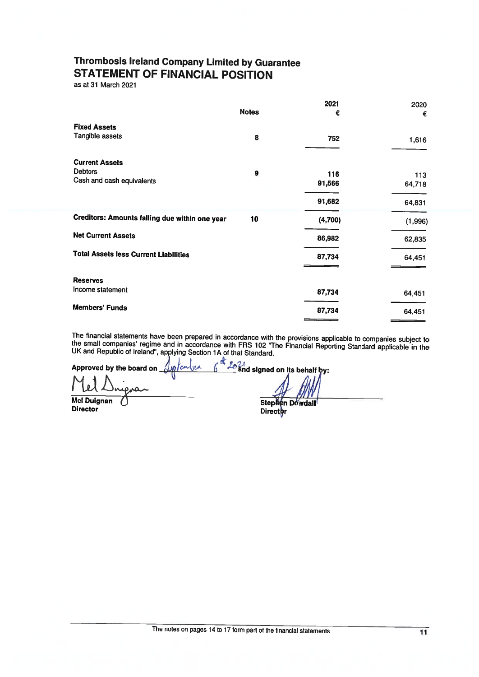# **Thrombosis Ireland Company Limited by Guarantee STATEMENT OF FINANCIAL POSITION**

endren

as at 31 March 2021

|                                                       |              | 2021    | 2020    |
|-------------------------------------------------------|--------------|---------|---------|
|                                                       | <b>Notes</b> | €       | €       |
| <b>Fixed Assets</b>                                   |              |         |         |
| Tangible assets                                       | 8            | 752     | 1,616   |
| <b>Current Assets</b>                                 |              |         |         |
| <b>Debtors</b>                                        | 9            | 116     | 113     |
| Cash and cash equivalents                             |              | 91,566  | 64,718  |
|                                                       |              | 91,682  | 64,831  |
| <b>Creditors: Amounts falling due within one year</b> | 10           | (4,700) | (1,996) |
| <b>Net Current Assets</b>                             |              | 86,982  | 62,835  |
| <b>Total Assets less Current Liabilities</b>          |              | 87,734  | 64,451  |
|                                                       |              |         |         |
| <b>Reserves</b>                                       |              |         |         |
| Income statement                                      |              | 87,734  | 64,451  |
| <b>Members' Funds</b>                                 |              | 87,734  | 64,451  |
|                                                       |              |         |         |

The financial statements have been prepared in accordance with the provisions applicable to companies subject to the small companies' regime and in accordance with FRS 102 "The Financial Reporting Standard applicable in th

Approved by the board on

**Mel Duignan Director** 

 $\frac{d}{d}$  20 and signed on its behalf by:

Stephen Dowdall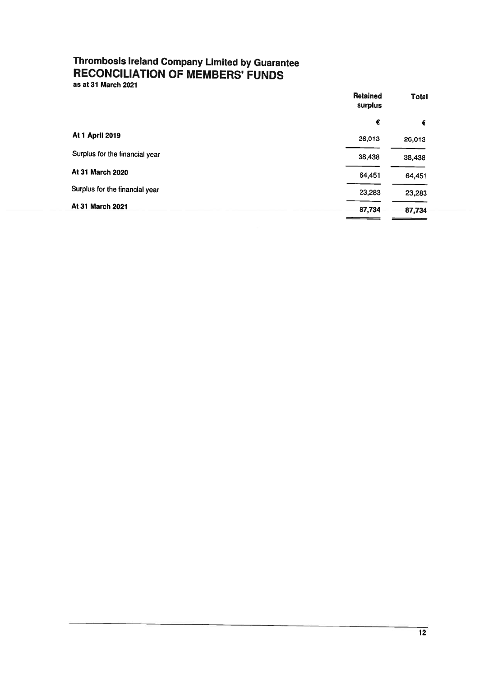# **Thrombosis Ireland Company Limited by Guarantee<br>RECONCILIATION OF MEMBERS' FUNDS**

as at 31 March 2021

| <b>Retained</b><br>surplus |        |
|----------------------------|--------|
| €                          | €      |
| 26,013                     | 26,013 |
| 38,438                     | 38,438 |
| 64,451                     | 64,451 |
| 23,283                     | 23,283 |
| 87,734                     | 87,734 |
|                            |        |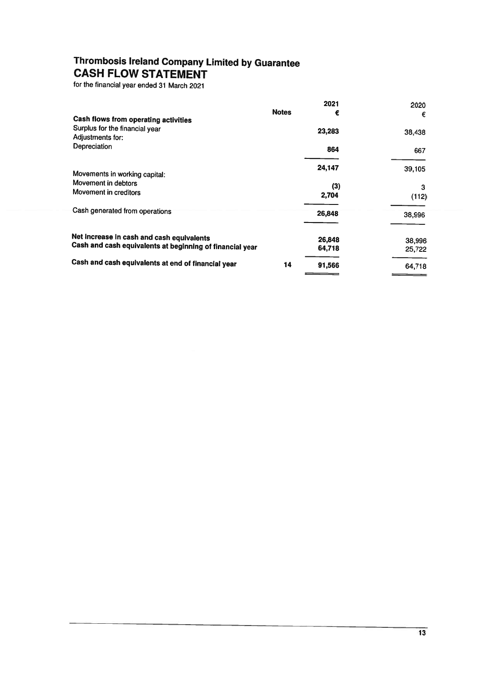# **Thrombosis Ireland Company Limited by Guarantee CASH FLOW STATEMENT**

for the financial year ended 31 March 2021

|                                                                                                       |              | 2021             | 2020             |
|-------------------------------------------------------------------------------------------------------|--------------|------------------|------------------|
| Cash flows from operating activities                                                                  | <b>Notes</b> | €                | €                |
| Surplus for the financial year<br>Adjustments for:<br>Depreciation                                    |              | 23,283<br>864    | 38,438<br>667    |
|                                                                                                       |              | 24,147           | 39,105           |
| Movements in working capital:<br>Movement in debtors<br>Movement in creditors                         |              | (3)<br>2,704     | 3<br>(112)       |
| Cash generated from operations                                                                        |              | 26,848           | 38,996           |
| Net increase in cash and cash equivalents<br>Cash and cash equivalents at beginning of financial year |              | 26,848<br>64,718 | 38,996<br>25,722 |
| Cash and cash equivalents at end of financial year                                                    | 14           | 91,566           | 64,718           |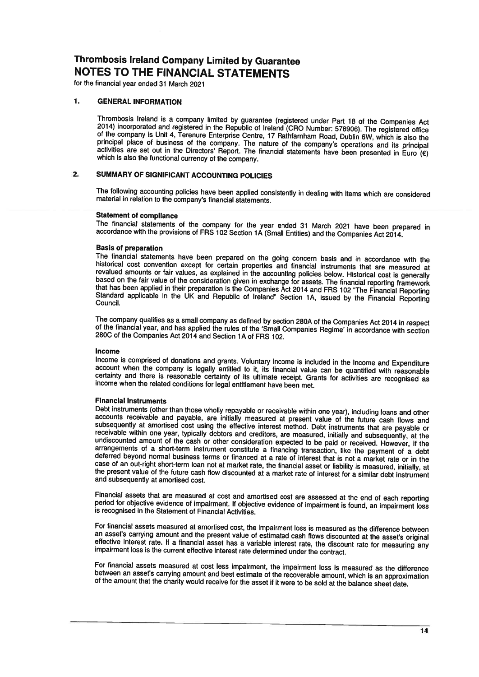for the financial year ended 31 March 2021

#### $\mathbf 1$ . **GENERAL INFORMATION**

Thrombosis Ireland is a company limited by guarantee (registered under Part 18 of the Companies Act 2014) incorporated and registered in the Republic of Ireland (CRO Number: 578906). The registered office of the company is Unit 4, Terenure Enterprise Centre, 17 Rathfarnham Road, Dublin 6W, which is also the principal place of business of the company. The nature of the company's operations and its principal activities are set out in the Directors' Report. The financial statements have been presented in Euro ( $\epsilon$ ) which is also the functional currency of the company.

#### SUMMARY OF SIGNIFICANT ACCOUNTING POLICIES  $2.$

The following accounting policies have been applied consistently in dealing with items which are considered material in relation to the company's financial statements.

## **Statement of compliance**

The financial statements of the company for the year ended 31 March 2021 have been prepared in accordance with the provisions of FRS 102 Section 1A (Small Entities) and the Companies Act 2014.

### **Basis of preparation**

The financial statements have been prepared on the going concern basis and in accordance with the historical cost convention except for certain properties and financial instruments that are measured at revalued amounts or fair values, as explained in the accounting policies below. Historical cost is generally based on the fair value of the consideration given in exchange for assets. The financial reporting framework that has been applied in their preparation is the Companies Act 2014 and FRS 102 "The Financial Reporting Standard applicable in the UK and Republic of Ireland" Section 1A, issued by the Financial Reporting Council.

The company qualifies as a small company as defined by section 280A of the Companies Act 2014 in respect of the financial year, and has applied the rules of the 'Small Companies Regime' in accordance with section 280C of the Companies Act 2014 and Section 1A of FRS 102.

### Income

Income is comprised of donations and grants. Voluntary income is included in the Income and Expenditure account when the company is legally entitled to it, its financial value can be quantified with reasonable certainty and there is reasonable certainty of its ultimate receipt. Grants for activities are recognised as income when the related conditions for legal entitlement have been met.

### **Financial Instruments**

Debt instruments (other than those wholly repayable or receivable within one year), including loans and other accounts receivable and payable, are initially measured at present value of the future cash flows and subsequently at amortised cost using the effective interest method. Debt instruments that are payable or receivable within one year, typically debtors and creditors, are measured, initially and subsequently, at the undiscounted amount of the cash or other consideration expected to be paid or received. However, if the arrangements of a short-term instrument constitute a financing transaction, like the payment of a debt deferred beyond normal business terms or financed at a rate of interest that is not a market rate or in the case of an out-right short-term loan not at market rate, the financial asset or liability is measured, initially, at the present value of the future cash flow discounted at a market rate of interest for a similar debt instrument and subsequently at amortised cost.

Financial assets that are measured at cost and amortised cost are assessed at the end of each reporting period for objective evidence of impairment. If objective evidence of impairment is found, an impairment loss is recognised in the Statement of Financial Activities.

For financial assets measured at amortised cost, the impairment loss is measured as the difference between an asset's carrying amount and the present value of estimated cash flows discounted at the asset's original effective interest rate. If a financial asset has a variable interest rate, the discount rate for measuring any impairment loss is the current effective interest rate determined under the contract.

For financial assets measured at cost less impairment, the impairment loss is measured as the difference between an asset's carrying amount and best estimate of the recoverable amount, which is an approximation of the amount that the charity would receive for the asset if it were to be sold at the balance sheet date.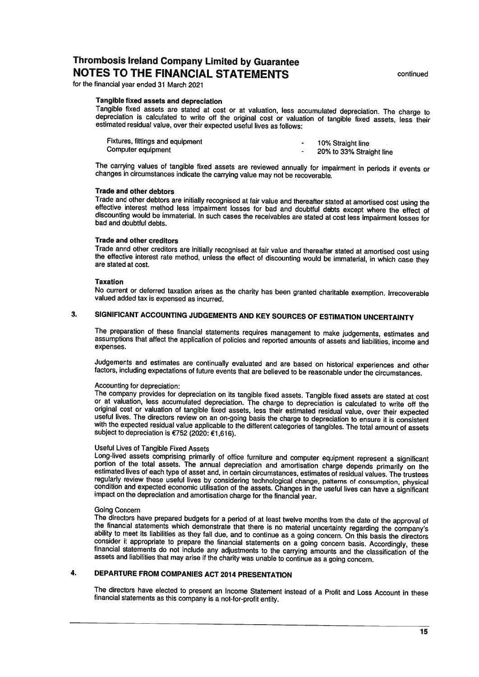for the financial year ended 31 March 2021

# Tangible fixed assets and depreciation

Tangible fixed assets are stated at cost or at valuation, less accumulated depreciation. The charge to depreciation is calculated to write off the original cost or valuation of tangible fixed assets, less their estimated residual value, over their expected useful lives as follows:

| Fixtures, fittings and equipment | 10% Straight line        |
|----------------------------------|--------------------------|
| Computer equipment               | 20% to 33% Straight line |

The carrying values of tangible fixed assets are reviewed annually for impairment in periods if events or changes in circumstances indicate the carrying value may not be recoverable.

### **Trade and other debtors**

Trade and other debtors are initially recognised at fair value and thereafter stated at amortised cost using the effective interest method less impairment losses for bad and doubtful debts except where the effect of discounting would be immaterial. In such cases the receivables are stated at cost less impairment losses for bad and doubtful debts.

# **Trade and other creditors**

Trade annd other creditors are initially recognised at fair value and thereafter stated at amortised cost using the effective interest rate method, unless the effect of discounting would be immaterial, in which case they are stated at cost.

### **Taxation**

No current or deferred taxation arises as the charity has been granted charitable exemption. Irrecoverable valued added tax is expensed as incurred.

#### SIGNIFICANT ACCOUNTING JUDGEMENTS AND KEY SOURCES OF ESTIMATION UNCERTAINTY  $3.$

The preparation of these financial statements requires management to make judgements, estimates and assumptions that affect the application of policies and reported amounts of assets and liabilities, income and expenses.

Judgements and estimates are continually evaluated and are based on historical experiences and other factors, including expectations of future events that are believed to be reasonable under the circumstances.

### Accounting for depreciation:

The company provides for depreciation on its tangible fixed assets. Tangible fixed assets are stated at cost or at valuation, less accumulated depreciation. The charge to depreciation is calculated to write off the original cost or valuation of tangible fixed assets, less their estimated residual value, over their expected useful lives. The directors review on an on-going basis the charge to depreciation to ensure it is consistent with the expected residual value applicable to the different categories of tangibles. The total amount of assets subject to depreciation is €752 (2020: €1,616).

# **Useful Lives of Tangible Fixed Assets**

Long-lived assets comprising primarily of office furniture and computer equipment represent a significant<br>portion of the total assets. The annual depreciation and amortisation charge depends primarily on the estimated lives of each type of asset and, in certain circumstances, estimates of residual values. The trustees regularly review these useful lives by considering technological change, patterns of consumption, physical condition and expected economic utilisation of the assets. Changes in the useful lives can have a significant impact on the depreciation and amortisation charge for the financial year.

# **Going Concern**

The directors have prepared budgets for a period of at least twelve months from the date of the approval of the financial statements which demonstrate that there is no material uncertainty regarding the company's ability to meet its liabilities as they fall due, and to continue as a going concern. On this basis the directors consider it appropriate to prepare the financial statements on a going concern basis. Accordingly, these financial statements do not include any adjustments to the carrying amounts and the classification of the assets and liabilities that may arise if the charity was unable to continue as a going concern.

#### DEPARTURE FROM COMPANIES ACT 2014 PRESENTATION 4.

The directors have elected to present an Income Statement instead of a Profit and Loss Account in these financial statements as this company is a not-for-profit entity.

continued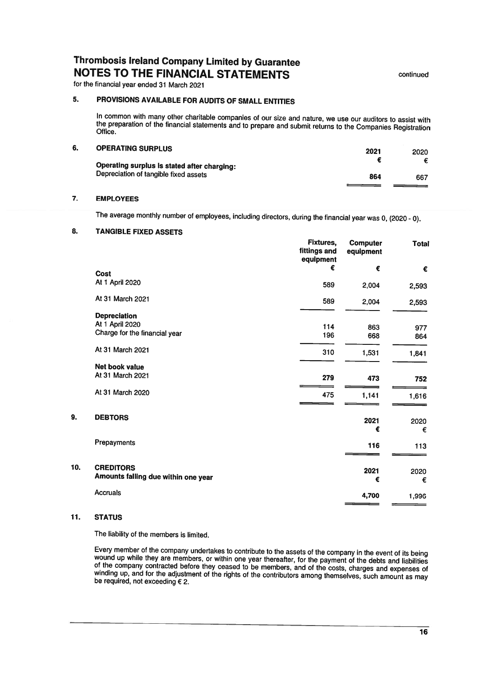for the financial year ended 31 March 2021

#### $5.$ PROVISIONS AVAILABLE FOR AUDITS OF SMALL ENTITIES

In common with many other charitable companies of our size and nature, we use our auditors to assist with the preparation of the financial statements and to prepare and submit returns to the Companies Registration Office.

#### $6.$ **OPERATING SHIPPLUS**

| - - - - - - - - - - - - - - - - - - -       | 2021 | 2020 |
|---------------------------------------------|------|------|
| Operating surplus is stated after charging: |      |      |
| Depreciation of tangible fixed assets       | 864  | 667  |
|                                             |      |      |

#### $\overline{7}$ . **EMPLOYEES**

The average monthly number of employees, including directors, during the financial year was 0, (2020 - 0).

#### 8. **TANGIBLE FIXED ASSETS**

|                                     | <b>Fixtures,</b><br>fittings and<br>equipment | <b>Computer</b><br>equipment | <b>Total</b> |
|-------------------------------------|-----------------------------------------------|------------------------------|--------------|
|                                     | €                                             | €                            | €            |
| <b>Cost</b><br>At 1 April 2020      |                                               |                              |              |
|                                     | 589                                           | 2,004                        | 2,593        |
| At 31 March 2021                    | 589                                           | 2,004                        | 2,593        |
|                                     |                                               |                              |              |
| <b>Depreciation</b>                 |                                               |                              |              |
| At 1 April 2020                     | 114                                           | 863                          | 977          |
| Charge for the financial year       | 196                                           | 668                          | 864          |
| At 31 March 2021                    | 310                                           | 1,531                        | 1,841        |
| Net book value                      |                                               |                              |              |
| At 31 March 2021                    | 279                                           | 473                          |              |
|                                     |                                               |                              | 752          |
| At 31 March 2020                    | 475                                           | 1,141                        | 1,616        |
|                                     |                                               |                              |              |
| <b>DEBTORS</b>                      |                                               | 2021                         |              |
|                                     |                                               | €                            | 2020<br>€    |
|                                     |                                               |                              |              |
| Prepayments                         |                                               | 116                          | 113          |
|                                     |                                               |                              |              |
| <b>CREDITORS</b>                    |                                               | 2021                         | 2020         |
| Amounts falling due within one year |                                               | €                            | €            |
| <b>Accruals</b>                     |                                               |                              |              |
|                                     |                                               | 4,700                        | 1,996        |

#### $11.$ **STATUS**

9.

10.

The liability of the members is limited.

Every member of the company undertakes to contribute to the assets of the company in the event of its being wound up while they are members, or within one year thereafter, for the payment of the debts and liabilities of the company contracted before they ceased to be members, and of the costs, charges and expenses of winding up, and for the adjustment of the rights of the contributors among themselves, such amount as may<br>be required, not exceeding  $\epsilon$  2.

continued

a a ch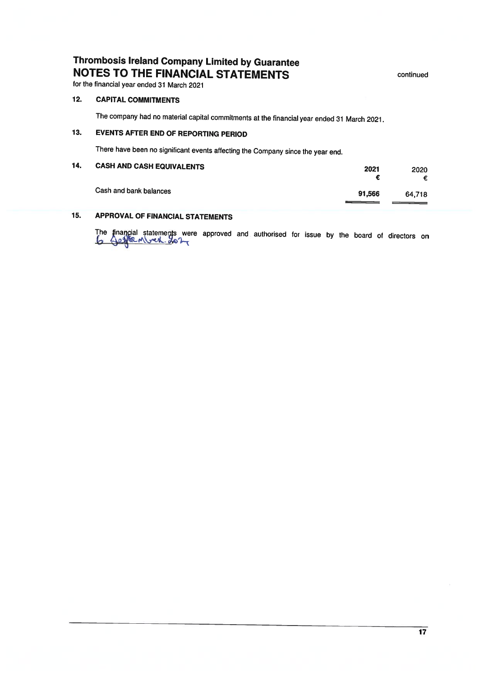continued

for the financial year ended 31 March 2021

#### $12.$ **CAPITAL COMMITMENTS**

The company had no material capital commitments at the financial year ended 31 March 2021.

#### $13.$ **EVENTS AFTER END OF REPORTING PERIOD**

There have been no significant events affecting the Company since the year end.

| 14. | <b>CASH AND CASH EQUIVALENTS</b> | 2021   | 2020   |
|-----|----------------------------------|--------|--------|
|     | Cash and bank balances           | 91,566 | 64.718 |

#### $15.$ **APPROVAL OF FINANCIAL STATEMENTS**

The financial statements were approved and authorised for issue by the board of directors on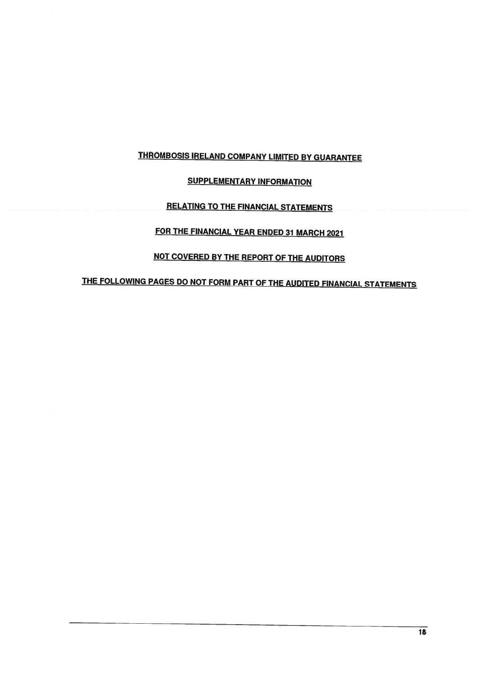# **THROMBOSIS IRELAND COMPANY LIMITED BY GUARANTEE**

# **SUPPLEMENTARY INFORMATION**

# **RELATING TO THE FINANCIAL STATEMENTS**

# FOR THE FINANCIAL YEAR ENDED 31 MARCH 2021

# NOT COVERED BY THE REPORT OF THE AUDITORS

# THE FOLLOWING PAGES DO NOT FORM PART OF THE AUDITED FINANCIAL STATEMENTS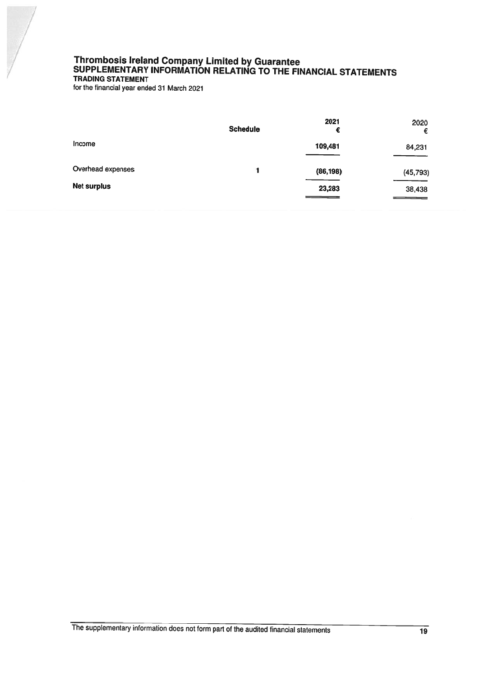# Thrombosis Ireland Company Limited by Guarantee<br>SUPPLEMENTARY INFORMATION RELATING TO THE FINANCIAL STATEMENTS TRADING STATEMENT

for the financial year ended 31 March 2021

|                    | <b>Schedule</b> | 2021<br>€ | 2020<br>€ |
|--------------------|-----------------|-----------|-----------|
| Income             |                 | 109,481   | 84,231    |
| Overhead expenses  | 1               | (86, 198) | (45, 793) |
| <b>Net surplus</b> |                 | 23,283    | 38,438    |

The supplementary information does not form part of the audited financial statements